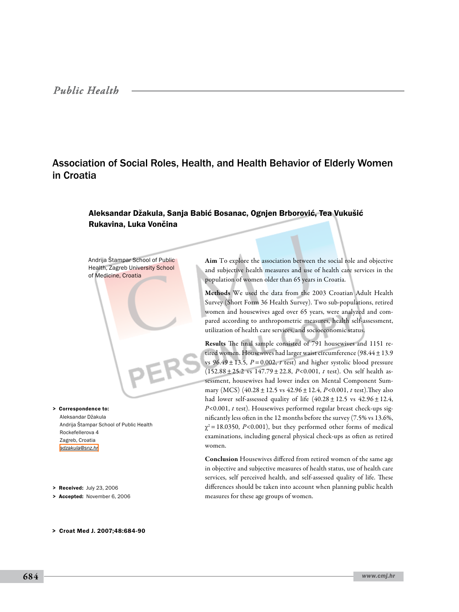## *Public Health*

# Association of Social Roles, Health, and Health Behavior of Elderly Women in Croatia

### Aleksandar Džakula, Sanja Babić Bosanac, Ognjen Brborović, Tea Vukušić Rukavina, Luka Vončina

Andrija Štampar School of Public Health, Zagreb University School of Medicine, Croatia

Aleksandar Džakula Andrija Štampar School of Public Health Rockefellerova 4 Zagreb, Croatia *[adzakula@snz.hr](mailto: adzakula@snz.hr )* > Correspondence to:

> Received: July 23, 2006

> Accepted: November 6, 2006

> Croat Med J. 2007;48:684-90

Aim To explore the association between the social role and objective and subjective health measures and use of health care services in the population of women older than 65 years in Croatia.

Methods We used the data from the 2003 Croatian Adult Health Survey (Short Form 36 Health Survey). Two sub-populations, retired women and housewives aged over 65 years, were analyzed and compared according to anthropometric measures, health self-assessment, utilization of health care services, and socioeconomic status.

Results The final sample consisted of 791 housewives and 1151 retired women. Housewives had larger waist circumference (98.44 $\pm$ 13.9 vs  $96.49 \pm 13.5$ ,  $P = 0.002$ , *t* test) and higher systolic blood pressure (152.88±25.2 vs 147.79±22.8, *P*<0.001, *t* test). On self health assessment, housewives had lower index on Mental Component Summary (MCS) (40.28±12.5 vs 42.96±12.4, *P*<0.001, *t* test).They also had lower self-assessed quality of life  $(40.28 \pm 12.5 \text{ vs } 42.96 \pm 12.4,$ *P*<0.001, *t* test). Housewives performed regular breast check-ups significantly less often in the 12 months before the survey (7.5% vs 13.6%,  $\chi^2$  = 18.0350, *P*<0.001), but they performed other forms of medical examinations, including general physical check-ups as often as retired women.

Conclusion Housewives differed from retired women of the same age in objective and subjective measures of health status, use of health care services, self perceived health, and self-assessed quality of life. These differences should be taken into account when planning public health measures for these age groups of women.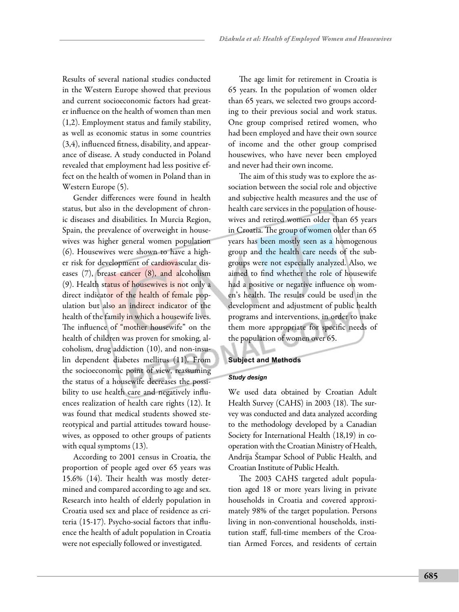Results of several national studies conducted in the Western Europe showed that previous and current socioeconomic factors had greater influence on the health of women than men (1,2). Employment status and family stability, as well as economic status in some countries (3,4), influenced fitness, disability, and appearance of disease. A study conducted in Poland revealed that employment had less positive effect on the health of women in Poland than in Western Europe (5).

Gender differences were found in health status, but also in the development of chronic diseases and disabilities. In Murcia Region, Spain, the prevalence of overweight in housewives was higher general women population (6). Housewives were shown to have a higher risk for development of cardiovascular diseases (7), breast cancer (8), and alcoholism (9). Health status of housewives is not only a direct indicator of the health of female population but also an indirect indicator of the health of the family in which a housewife lives. The influence of "mother housewife" on the health of children was proven for smoking, alcoholism, drug addiction (10), and non-insulin dependent diabetes mellitus (11). From the socioeconomic point of view, reassuming the status of a housewife decreases the possibility to use health care and negatively influences realization of health care rights (12). It was found that medical students showed stereotypical and partial attitudes toward housewives, as opposed to other groups of patients with equal symptoms (13).

According to 2001 census in Croatia, the proportion of people aged over 65 years was 15.6% (14). Their health was mostly determined and compared according to age and sex. Research into health of elderly population in Croatia used sex and place of residence as criteria (15-17). Psycho-social factors that influence the health of adult population in Croatia were not especially followed or investigated.

The age limit for retirement in Croatia is 65 years. In the population of women older than 65 years, we selected two groups according to their previous social and work status. One group comprised retired women, who had been employed and have their own source of income and the other group comprised housewives, who have never been employed and never had their own income.

The aim of this study was to explore the association between the social role and objective and subjective health measures and the use of health care services in the population of housewives and retired women older than 65 years in Croatia. The group of women older than 65 years has been mostly seen as a homogenous group and the health care needs of the subgroups were not especially analyzed. Also, we aimed to find whether the role of housewife had a positive or negative influence on women's health. The results could be used in the development and adjustment of public health programs and interventions, in order to make them more appropriate for specific needs of the population of women over 65.

#### **Subject and Methods**

### *Study design*

We used data obtained by Croatian Adult Health Survey (CAHS) in 2003 (18). The survey was conducted and data analyzed according to the methodology developed by a Canadian Society for International Health (18,19) in cooperation with the Croatian Ministry of Health, Andrija Štampar School of Public Health, and Croatian Institute of Public Health.

The 2003 CAHS targeted adult population aged 18 or more years living in private households in Croatia and covered approximately 98% of the target population. Persons living in non-conventional households, institution staff, full-time members of the Croatian Armed Forces, and residents of certain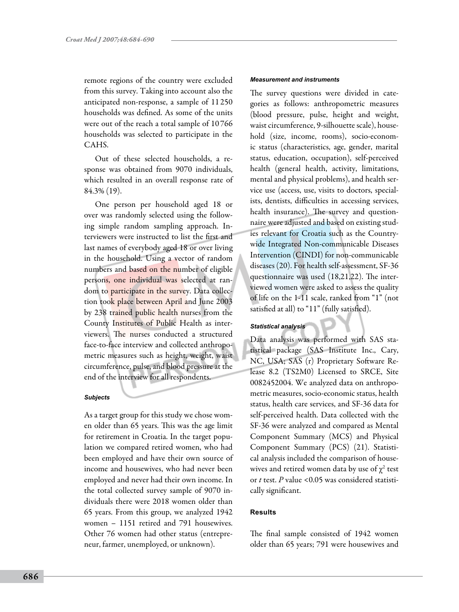remote regions of the country were excluded from this survey. Taking into account also the anticipated non-response, a sample of 11 250 households was defined. As some of the units were out of the reach a total sample of 10 766 households was selected to participate in the CAHS.

Out of these selected households, a response was obtained from 9070 individuals, which resulted in an overall response rate of 84.3% (19).

One person per household aged 18 or over was randomly selected using the following simple random sampling approach. Interviewers were instructed to list the first and last names of everybody aged 18 or over living in the household. Using a vector of random numbers and based on the number of eligible persons, one individual was selected at random to participate in the survey. Data collection took place between April and June 2003 by 238 trained public health nurses from the County Institutes of Public Health as interviewers. The nurses conducted a structured face-to-face interview and collected anthropometric measures such as height, weight, waist circumference, pulse, and blood pressure at the end of the interview for all respondents.

#### *Subjects*

As a target group for this study we chose women older than 65 years. This was the age limit for retirement in Croatia. In the target population we compared retired women, who had been employed and have their own source of income and housewives, who had never been employed and never had their own income. In the total collected survey sample of 9070 individuals there were 2018 women older than 65 years. From this group, we analyzed 1942 women – 1151 retired and 791 housewives. Other 76 women had other status (entrepreneur, farmer, unemployed, or unknown).

#### *Measurement and instruments*

The survey questions were divided in categories as follows: anthropometric measures (blood pressure, pulse, height and weight, waist circumference, 9-silhouette scale), household (size, income, rooms), socio-economic status (characteristics, age, gender, marital status, education, occupation), self-perceived health (general health, activity, limitations, mental and physical problems), and health service use (access, use, visits to doctors, specialists, dentists, difficulties in accessing services, health insurance). The survey and questionnaire were adjusted and based on existing studies relevant for Croatia such as the Countrywide Integrated Non-communicable Diseases Intervention (CINDI) for non-communicable diseases (20). For health self-assessment, SF-36 questionnaire was used (18,21,22). The interviewed women were asked to assess the quality of life on the 1-11 scale, ranked from "1" (not satisfied at all) to "11" (fully satisfied).

#### *Statistical analysis*

Data analysis was performed with SAS statistical package (SAS Institute Inc., Cary, NC, USA; SAS (r) Proprietary Software Release 8.2 (TS2M0) Licensed to SRCE, Site 0082452004. We analyzed data on anthropometric measures, socio-economic status, health status, health care services, and SF-36 data for self-perceived health. Data collected with the SF-36 were analyzed and compared as Mental Component Summary (MCS) and Physical Component Summary (PCS) (21). Statistical analysis included the comparison of housewives and retired women data by use of  $\chi^2$  test or *t* test. *P* value <0.05 was considered statistically significant.

#### **Results**

The final sample consisted of 1942 women older than 65 years; 791 were housewives and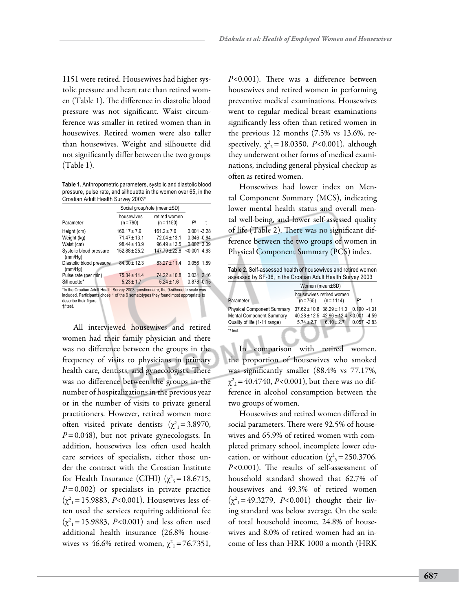1151 were retired. Housewives had higher systolic pressure and heart rate than retired women (Table 1). The difference in diastolic blood pressure was not significant. Waist circumference was smaller in retired women than in housewives. Retired women were also taller than housewives. Weight and silhouette did not significantly differ between the two groups (Table 1).

**Table 1.** Anthropometric parameters, systolic and diastolic blood pressure, pulse rate, and silhouette in the women over 65, in the Croatian Adult Health Survey 2003\*

|                                     | Social group/role (mean±SD) |                               |                |  |
|-------------------------------------|-----------------------------|-------------------------------|----------------|--|
| Parameter                           | housewives<br>$(n = 790)$   | retired women<br>$(n = 1150)$ | P۱             |  |
| Height (cm)                         | $160.17 \pm 7.9$            | $161.2 \pm 7.0$               | $0.001 - 3.28$ |  |
| Weight (kg)                         | $71.47 \pm 13.1$            | $72.04 \pm 13.1$              | $0.346 - 0.94$ |  |
| Waist (cm)                          | $98.44 \pm 13.9$            | $96.49 \pm 13.5$              | $0.002$ 3.09   |  |
| Systolic blood pressure<br>(mm/Hq)  | $152.88 \pm 25.2$           | $147.79 \pm 22.8$             | $< 0.001$ 4.63 |  |
| Diastolic blood pressure<br>(mm/Hq) | $84.30 \pm 12.3$            | $83.27 \pm 11.4$              | 0.056 1.89     |  |
| Pulse rate (per min)                | $75.34 \pm 11.4$            | $74.22 \pm 10.8$              | $0.031$ 2.16   |  |
| Silhouette*                         | $5.23 \pm 1.7$              | $5.24 \pm 1.6$                | $0.878 - 0.15$ |  |

\*In the Croatian Adult Health Survey 2003 questionnaire, the 9-silhouette scale was included. Participants chose 1 of the 9 somatotypes they found most appropriate to describe their figure. †*t* test.

All interviewed housewives and retired women had their family physician and there was no difference between the groups in the frequency of visits to physicians in primary health care, dentists, and gynecologists. There was no difference between the groups in the number of hospitalizations in the previous year or in the number of visits to private general practitioners. However, retired women more often visited private dentists  $(\chi^2_{1} = 3.8970,$ *P*=0.048), but not private gynecologists. In addition, housewives less often used health care services of specialists, either those under the contract with the Croatian Institute for Health Insurance (CIHI)  $(\chi^2,=18.6715,$ *P*=0.002) or specialists in private practice  $(\chi^2_{1} = 15.9883, P < 0.001)$ . Housewives less often used the services requiring additional fee  $(\chi^2_{1} = 15.9883, P<0.001)$  and less often used additional health insurance (26.8% housewives vs 46.6% retired women,  $\chi^2_{1} = 76.7351$ , *P*<0.001). There was a difference between housewives and retired women in performing preventive medical examinations. Housewives went to regular medical breast examinations significantly less often than retired women in the previous 12 months (7.5% vs 13.6%, respectively,  $\chi^2 = 18.0350$ , *P*<0.001), although they underwent other forms of medical examinations, including general physical checkup as often as retired women.

Housewives had lower index on Mental Component Summary (MCS), indicating lower mental health status and overall mental well-being, and lower self-assessed quality of life (Table 2). There was no significant difference between the two groups of women in Physical Component Summary (PCS) index.

| Table 2. Self-assessed health of housewives and retired women<br>assessed by SF-36, in the Croatian Adult Health Survey 2003 |                 |                                                  |                |         |  |  |  |
|------------------------------------------------------------------------------------------------------------------------------|-----------------|--------------------------------------------------|----------------|---------|--|--|--|
|                                                                                                                              | Women (mean±SD) |                                                  |                |         |  |  |  |
| Parameter                                                                                                                    |                 | housewives retired women<br>$(n=765)$ $(n=1114)$ |                |         |  |  |  |
| <b>Physical Component Summary</b>                                                                                            |                 | $37.62 \pm 10.8$ $38.29 \pm 11.0$                | $0.190 - 1.31$ |         |  |  |  |
| Mental Component Summary                                                                                                     |                 | $40.28 \pm 12.5$ $42.96 \pm 12.4$                | < 0.001        | $-4.59$ |  |  |  |
| Quality of life (1-11 range)                                                                                                 | $5.74 \pm 2.7$  | $6.10 \pm 2.7$                                   | $0.057 - 2.83$ |         |  |  |  |
| $*$ t test.                                                                                                                  |                 |                                                  |                |         |  |  |  |

In comparison with retired women, the proportion of housewives who smoked was significantly smaller (88.4% vs 77.17%,  $\chi^2_{2}$  = 40.4740, *P*<0.001), but there was no difference in alcohol consumption between the two groups of women.

Housewives and retired women differed in social parameters. There were 92.5% of housewives and 65.9% of retired women with completed primary school, incomplete lower education, or without education ( $\chi^2$ <sub>5</sub> = 250.3706, *P*<0.001). The results of self-assessment of household standard showed that 62.7% of housewives and 49.3% of retired women  $(\chi^2_{1} = 49.3279, \ P < 0.001)$  thought their living standard was below average. On the scale of total household income, 24.8% of housewives and 8.0% of retired women had an income of less than HRK 1000 a month (HRK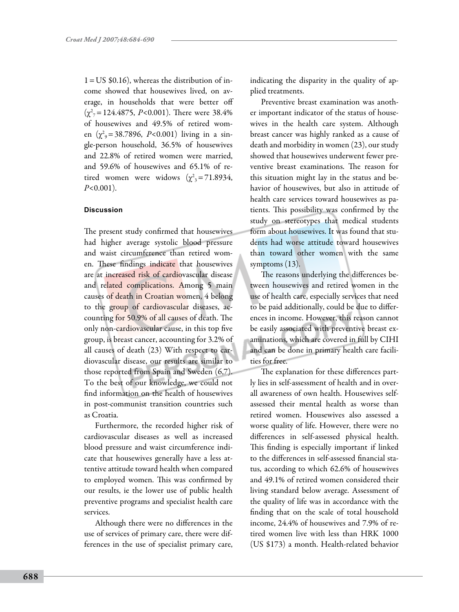$1 = US $0.16$ ), whereas the distribution of income showed that housewives lived, on average, in households that were better off  $(\chi^2_{7} = 124.4875, P<0.001)$ . There were 38.4% of housewives and 49.5% of retired women  $(\chi^2) = 38.7896$ , *P*<0.001) living in a single-person household, 36.5% of housewives and 22.8% of retired women were married, and 59.6% of housewives and 65.1% of retired women were widows  $(\chi^2)^3 = 71.8934$ , *P*<0.001).

#### **Discussion**

The present study confirmed that housewives had higher average systolic blood pressure and waist circumference than retired women. These findings indicate that housewives are at increased risk of cardiovascular disease and related complications. Among 5 main causes of death in Croatian women, 4 belong to the group of cardiovascular diseases, accounting for 50.9% of all causes of death. The only non-cardiovascular cause, in this top five group, is breast cancer, accounting for 3.2% of all causes of death (23) With respect to cardiovascular disease, our results are similar to those reported from Spain and Sweden (6,7). To the best of our knowledge, we could not find information on the health of housewives in post-communist transition countries such as Croatia.

Furthermore, the recorded higher risk of cardiovascular diseases as well as increased blood pressure and waist circumference indicate that housewives generally have a less attentive attitude toward health when compared to employed women. This was confirmed by our results, ie the lower use of public health preventive programs and specialist health care services.

Although there were no differences in the use of services of primary care, there were differences in the use of specialist primary care, indicating the disparity in the quality of applied treatments.

Preventive breast examination was another important indicator of the status of housewives in the health care system. Although breast cancer was highly ranked as a cause of death and morbidity in women (23), our study showed that housewives underwent fewer preventive breast examinations. The reason for this situation might lay in the status and behavior of housewives, but also in attitude of health care services toward housewives as patients. This possibility was confirmed by the study on stereotypes that medical students form about housewives. It was found that students had worse attitude toward housewives than toward other women with the same symptoms (13).

The reasons underlying the differences between housewives and retired women in the use of health care, especially services that need to be paid additionally, could be due to differences in income. However, this reason cannot be easily associated with preventive breast examinations, which are covered in full by CIHI and can be done in primary health care facilities for free.

The explanation for these differences partly lies in self-assessment of health and in overall awareness of own health. Housewives selfassessed their mental health as worse than retired women. Housewives also assessed a worse quality of life. However, there were no differences in self-assessed physical health. This finding is especially important if linked to the differences in self-assessed financial status, according to which 62.6% of housewives and 49.1% of retired women considered their living standard below average. Assessment of the quality of life was in accordance with the finding that on the scale of total household income, 24.4% of housewives and 7.9% of retired women live with less than HRK 1000 (US \$173) a month. Health-related behavior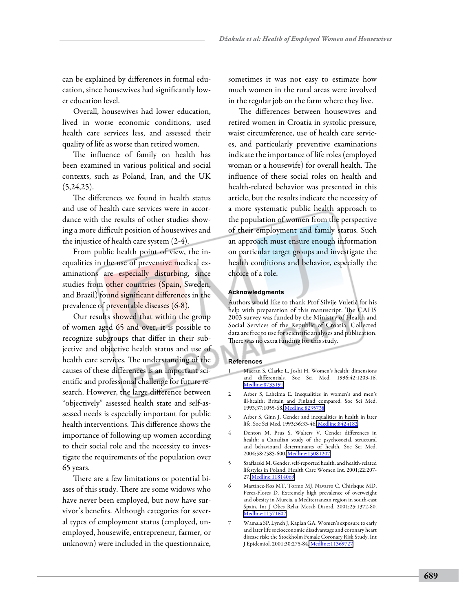can be explained by differences in formal education, since housewives had significantly lower education level.

Overall, housewives had lower education, lived in worse economic conditions, used health care services less, and assessed their quality of life as worse than retired women.

The influence of family on health has been examined in various political and social contexts, such as Poland, Iran, and the UK  $(5,24,25)$ .

The differences we found in health status and use of health care services were in accordance with the results of other studies showing a more difficult position of housewives and the injustice of health care system (2-4).

From public health point of view, the inequalities in the use of preventive medical examinations are especially disturbing, since studies from other countries (Spain, Sweden, and Brazil) found significant differences in the prevalence of preventable diseases (6-8).

Our results showed that within the group of women aged 65 and over, it is possible to recognize subgroups that differ in their subjective and objective health status and use of health care services. The understanding of the causes of these differences is an important scientific and professional challenge for future research. However, the large difference between "objectively" assessed health state and self-assessed needs is especially important for public health interventions. This difference shows the importance of following-up women according to their social role and the necessity to investigate the requirements of the population over 65 years.

There are a few limitations or potential biases of this study. There are some widows who have never been employed, but now have survivor's benefits. Although categories for several types of employment status (employed, unemployed, housewife, entrepreneur, farmer, or unknown) were included in the questionnaire,

sometimes it was not easy to estimate how much women in the rural areas were involved in the regular job on the farm where they live.

The differences between housewives and retired women in Croatia in systolic pressure, waist circumference, use of health care services, and particularly preventive examinations indicate the importance of life roles (employed woman or a housewife) for overall health. The influence of these social roles on health and health-related behavior was presented in this article, but the results indicate the necessity of a more systematic public health approach to the population of women from the perspective of their employment and family status. Such an approach must ensure enough information on particular target groups and investigate the health conditions and behavior, especially the choice of a role.

#### **Acknowledgments**

Authors would like to thank Prof Silvije Vuletić for his help with preparation of this manuscript. The CAHS 2003 survey was funded by the Ministry of Health and Social Services of the Republic of Croatia. Collected data are free to use for scientific analyses and publication. There was no extra funding for this study.

#### **References**

- 1 Macran S, Clarke L, Joshi H. Women's health: dimensions and differentials. Soc Sci Med. 1996;42:1203-16. [Medline:8733191](http://www.ncbi.nlm.nih.gov/sites/entrez?cmd=Retrieve&db=PubMed&list_uids=8733191&dopt=Abstrac)
- 2 Arber S, Lahelma E. Inequalities in women's and men's ill-health: Britain and Finland compared. Soc Sci Med. 1993;37:1055-68. [Medline:8235738](http://www.ncbi.nlm.nih.gov/sites/entrez?cmd=Retrieve&db=PubMed&list_uids=8235738&dopt=Abstrac)
- 3 Arber S, Ginn J. Gender and inequalities in health in later life. Soc Sci Med. 1993;36:33-46. [Medline:8424182](http://www.ncbi.nlm.nih.gov/sites/entrez?cmd=Retrieve&db=PubMed&list_uids=8424182&dopt=Abstrac)
- 4 Denton M, Prus S, Walters V. Gender differences in health: a Canadian study of the psychosocial, structural and behavioural determinants of health. Soc Sci Med. 2004;58:2585-600. [Medline:15081207](http://www.ncbi.nlm.nih.gov/sites/entrez?cmd=Retrieve&db=PubMed&list_uids=15081207&dopt=Abstrac)
- 5 Szaflarski M. Gender, self-reported health, and health-related lifestyles in Poland. Health Care Women Int. 2001;22:207- 27[. Medline:11814069](http://www.ncbi.nlm.nih.gov/sites/entrez?cmd=Retrieve&db=PubMed&list_uids=11814069&dopt=Abstrac)
- 6 Martínez-Ros MT, Tormo MJ, Navarro C, Chirlaque MD, Pérez-Flores D. Extremely high prevalence of overweight and obesity in Murcia, a Mediterranean region in south-east Spain. Int J Obes Relat Metab Disord. 2001;25:1372-80. [Medline:11571602](http://www.ncbi.nlm.nih.gov/sites/entrez?cmd=Retrieve&db=PubMed&list_uids=11571602&dopt=Abstrac)
- 7 Wamala SP, Lynch J, Kaplan GA. Women's exposure to early and later life socioeconomic disadvantage and coronary heart disease risk: the Stockholm Female Coronary Risk Study. Int J Epidemiol. 2001;30:275-84[. Medline:11369727](http://www.ncbi.nlm.nih.gov/sites/entrez?cmd=Retrieve&db=PubMed&list_uids=11369727&dopt=Abstrac)